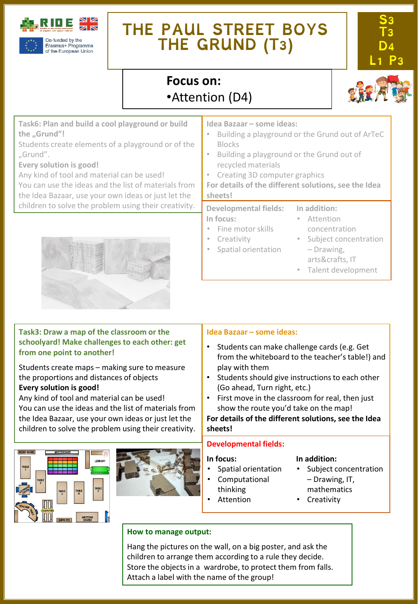

# **THE PAUL STREET BOYS THE GRUND (T3)**



# **Focus on:**  •Attention (D4)



**Task6: Plan and build a cool playground or build the "Grund"!**

Students create elements of a playground or of the "Grund".

**Every solution is good!**

Any kind of tool and material can be used!

You can use the ideas and the list of materials from the Idea Bazaar, use your own ideas or just let the children to solve the problem using their creativity.



# **Task3: Draw a map of the classroom or the schoolyard! Make challenges to each other: get from one point to another!**

Students create maps – making sure to measure the proportions and distances of objects **Every solution is good!**

Any kind of tool and material can be used! You can use the ideas and the list of materials from the Idea Bazaar, use your own ideas or just let the children to solve the problem using their creativity.





## **Idea Bazaar – some ideas:**

- Building a playground or the Grund out of ArTeC Blocks
- Building a playground or the Grund out of recycled materials
- Creating 3D computer graphics
- **For details of the different solutions, see the Idea sheets!**

#### **Developmental fields: In focus:** • Fine motor skills **In addition:** • Attention concentration

- **Creativity** 
	- Spatial orientation
- Subject concentration – Drawing, arts&crafts, IT
- Talent development
- 

# **Idea Bazaar – some ideas:**

- Students can make challenge cards (e.g. Get from the whiteboard to the teacher's table!) and play with them
- Students should give instructions to each other (Go ahead, Turn right, etc.)
- First move in the classroom for real, then just show the route you'd take on the map!

**For details of the different solutions, see the Idea sheets!**

# **Developmental fields:**

### **In focus:**

- Spatial orientation
- Computational
- thinking
	- Attention

# **In addition:**

- Subject concentration – Drawing, IT,
- 
- **Creativity**

# **How to manage output:**

Hang the pictures on the wall, on a big poster, and ask the children to arrange them according to a rule they decide. Store the objects in a wardrobe, to protect them from falls. Attach a label with the name of the group!

mathematics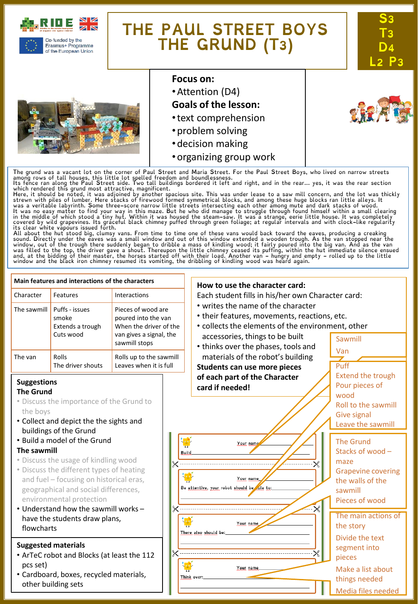

of the European Union

# **THE PAUL STREET BOYS THE GRUND (T3)**



# **Focus on:**

- •Attention (D4)
- **Goals of the lesson:**
- •text comprehension
- •problem solving
- •decision making
- •organizing group work

The grund was a vacant lot on the corner of Paul Street and Maria Street. For the Paul Street Boys, who lived on narrow streets<br>among rows of tall houses, this little lot spelled freedom and boundlessness.<br>Its fence ran al

which rendered this grund most attractive, magnificent.<br>Here, it should be noted, it was adjoined by another spacious site. This was under lease to a saw mill concern, and the lot was thickly<br>Here, it should be noted, it w

sound. Directly under the eaves was a small window and out of this window extended a wooden trough. As the van stopped near the<br>window, out of the trough there suddenly began to dribble a mass of kindling wood; it fairly p

#### **Main features and interactions of the characters How to use the character card:** Character Features Interactions Each student fills in his/her own Character card: • writes the name of the character The sawmill  $\vert$  Puffs - issues Pieces of wood are • their features, movements, reactions, etc. smoke poured into the van • collects the elements of the environment, other Extends a trough When the driver of the Cuts wood van gives a signal, the accessories, things to be built Sawmill sawmill stops • thinks over the phases, tools and Van materials of the robot's building The van Rolls Rolls up to the sawmill The driver shouts Leaves when it is full Puff **Students can use more pieces** Extend the trough **of each part of the Character Suggestions** Pour pieces of **card if needed! The Grund** wood • Discuss the importance of the Grund to Roll to the sawmill the boys Give signal • Collect and depict the the sights and Leave the sawmill buildings of the Grund • Build a model of the Grund The Grund Your nam **The sawmill** Stacks of wood – **Build** • Discuss the usage of kindling wood maze • Discuss the different types of heating Grapevine covering and fuel – focusing on historical eras, Your name the walls of the Be attentive, your robot should be ole to: geographical and social differences, sawmill environmental protection Pieces of wood • Understand how the sawmill works – The main actions of have the students draw plans, Your name the story flowcharts There also should be: Divide the text **Suggested materials** segment into • ArTeC robot and Blocks (at least the 112 pieces pcs set) Your name Make a list about • Cardboard, boxes, recycled materials, Think over: things needed other building sets Media files needed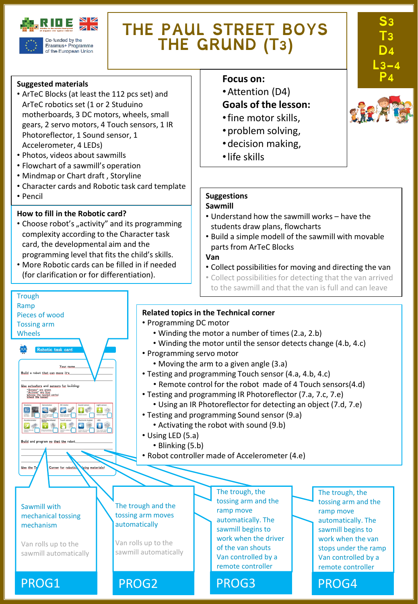

Erasmus+ Programme of the European Union

# **THE PAUL STREET BOYS THE GRUND (T3)**

**Suggested materials**

- ArTeC Blocks (at least the 112 pcs set) and ArTeC robotics set (1 or 2 Studuino motherboards, 3 DC motors, wheels, small gears, 2 servo motors, 4 Touch sensors, 1 IR Photoreflector, 1 Sound sensor, 1 Accelerometer, 4 LEDs)
- Photos, videos about sawmills
- Flowchart of a sawmill's operation
- Mindmap or Chart draft , Storyline
- Character cards and Robotic task card template
- Pencil

**Trough** Ramp

Pieces of wood Tossing arm Wheels

Build a robot that can move it's Use actuators and sensors for building "Senses" are green<br>"Actions" are blue<br>Chace the hovest

国王国史区

 $\bullet$ 

Build and program so that the

Use the L

Your ni

 $\mathbf{E}$ 

Corner for robotie

ing materials

Sawmill with mechanical tossing mechanism

Van rolls up to the sawmill automatically

# **How to fill in the Robotic card?**

- Choose robot's "activity" and its programming complexity according to the Character task card, the developmental aim and the programming level that fits the child's skills.
- More Robotic cards can be filled in if needed (for clarification or for differentiation).

# **Focus** on:

- •Attention (D4) **Goals of the lesson:**
- •fine motor skills,
- •problem solving,
- •decision making,
- •life skills

# **Suggestions**

## **Sawmill**

- Understand how the sawmill works have the students draw plans, flowcharts
- Build a simple modell of the sawmill with movable parts from ArTeC Blocks

# **Van**

- Collect possibilities for moving and directing the van
- Collect possibilities for detecting that the van arrived to the sawmill and that the van is full and can leave

# **Related topics in the Technical corner**

- Programming DC motor
	- Winding the motor a number of times(2.a, 2.b)
	- Winding the motor until the sensor detects change (4.b, 4.c)
- Programming servo motor
	- Moving the arm to a given angle (3.a)
- Testing and programming Touch sensor (4.a, 4.b, 4.c)
	- Remote control for the robot made of 4 Touch sensors(4.d)
- Testing and programming IR Photoreflector (7.a, 7.c, 7.e)
	- Using an IR Photoreflector for detecting an object (7.d, 7.e)
- Testing and programming Sound sensor (9.a)
	- Activating the robot with sound (9.b)
- Using LED (5.a)
	- Blinking (5.b)
- Robot controller made of Accelerometer (4.e)

The trough and the tossing arm moves automatically

Van rolls up to the sawmill automatically The trough, the tossing arm and the ramp move automatically. The sawmill begins to work when the driver of the van shouts Van controlled by a remote controller

The trough, the tossing arm and the ramp move automatically. The sawmill begins to work when the van stops under the ramp Van controlled by a remote controller



**S3** 

**T3 D4** 

**L3-4**